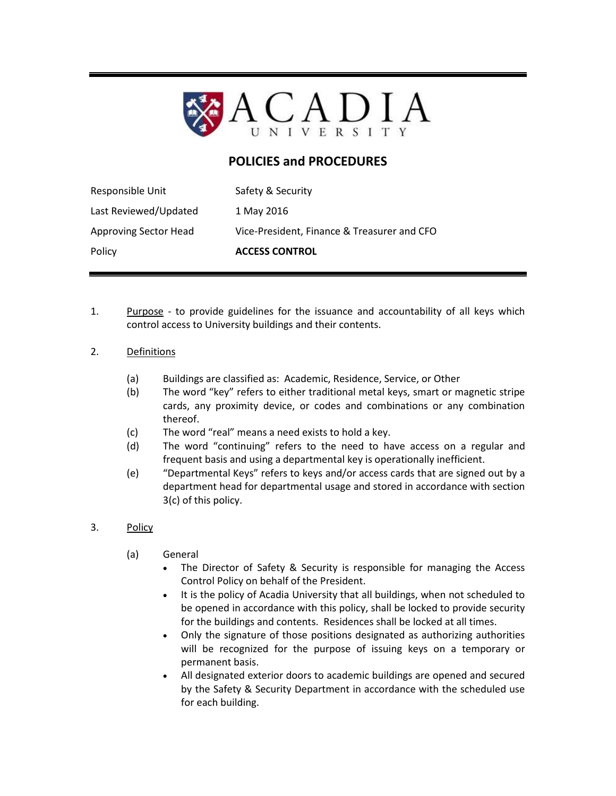

## **POLICIES and PROCEDURES**

| Responsible Unit             | Safety & Security                           |
|------------------------------|---------------------------------------------|
| Last Reviewed/Updated        | 1 May 2016                                  |
| <b>Approving Sector Head</b> | Vice-President, Finance & Treasurer and CFO |
| Policy                       | <b>ACCESS CONTROL</b>                       |

1. Purpose - to provide guidelines for the issuance and accountability of all keys which control access to University buildings and their contents.

## 2. Definitions

- (a) Buildings are classified as: Academic, Residence, Service, or Other
- (b) The word "key" refers to either traditional metal keys, smart or magnetic stripe cards, any proximity device, or codes and combinations or any combination thereof.
- (c) The word "real" means a need exists to hold a key.
- (d) The word "continuing" refers to the need to have access on a regular and frequent basis and using a departmental key is operationally inefficient.
- (e) "Departmental Keys" refers to keys and/or access cards that are signed out by a department head for departmental usage and stored in accordance with section 3(c) of this policy.
- 3. Policy
	- (a) General
		- The Director of Safety & Security is responsible for managing the Access Control Policy on behalf of the President.
		- It is the policy of Acadia University that all buildings, when not scheduled to be opened in accordance with this policy, shall be locked to provide security for the buildings and contents. Residences shall be locked at all times.
		- Only the signature of those positions designated as authorizing authorities will be recognized for the purpose of issuing keys on a temporary or permanent basis.
		- All designated exterior doors to academic buildings are opened and secured by the Safety & Security Department in accordance with the scheduled use for each building.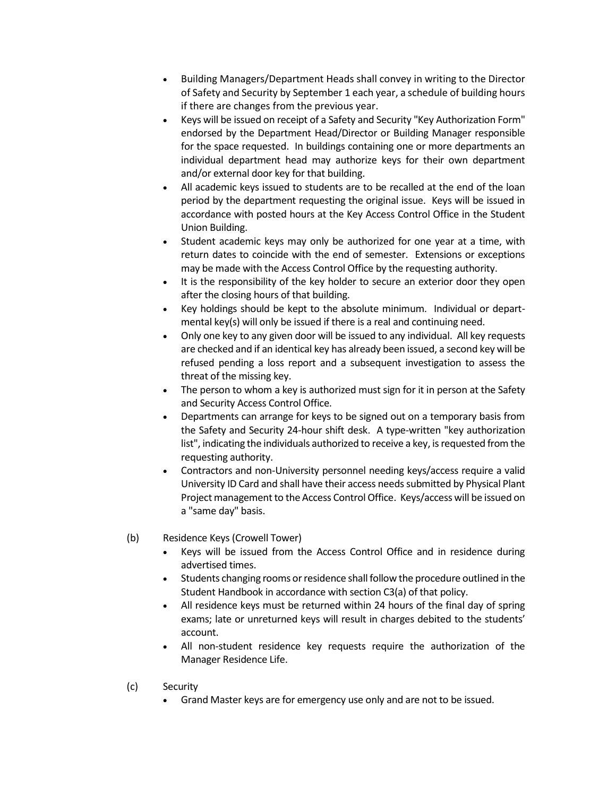- Building Managers/Department Heads shall convey in writing to the Director of Safety and Security by September 1 each year, a schedule of building hours if there are changes from the previous year.
- Keys will be issued on receipt of a Safety and Security "Key Authorization Form" endorsed by the Department Head/Director or Building Manager responsible for the space requested. In buildings containing one or more departments an individual department head may authorize keys for their own department and/or external door key for that building.
- All academic keys issued to students are to be recalled at the end of the loan period by the department requesting the original issue. Keys will be issued in accordance with posted hours at the Key Access Control Office in the Student Union Building.
- Student academic keys may only be authorized for one year at a time, with return dates to coincide with the end of semester. Extensions or exceptions may be made with the Access Control Office by the requesting authority.
- It is the responsibility of the key holder to secure an exterior door they open after the closing hours of that building.
- Key holdings should be kept to the absolute minimum. Individual or departmental key(s) will only be issued if there is a real and continuing need.
- Only one key to any given door will be issued to any individual. All key requests are checked and if an identical key has already been issued, a second key will be refused pending a loss report and a subsequent investigation to assess the threat of the missing key.
- The person to whom a key is authorized must sign for it in person at the Safety and Security Access Control Office.
- Departments can arrange for keys to be signed out on a temporary basis from the Safety and Security 24-hour shift desk. A type-written "key authorization list", indicating the individuals authorized to receive a key, is requested from the requesting authority.
- Contractors and non-University personnel needing keys/access require a valid University ID Card and shall have their access needs submitted by Physical Plant Project management to the Access Control Office. Keys/access will be issued on a "same day" basis.
- (b) Residence Keys (Crowell Tower)
	- Keys will be issued from the Access Control Office and in residence during advertised times.
	- Students changing rooms or residence shall follow the procedure outlined in the Student Handbook in accordance with section C3(a) of that policy.
	- All residence keys must be returned within 24 hours of the final day of spring exams; late or unreturned keys will result in charges debited to the students' account.
	- All non-student residence key requests require the authorization of the Manager Residence Life.
- (c) Security
	- Grand Master keys are for emergency use only and are not to be issued.